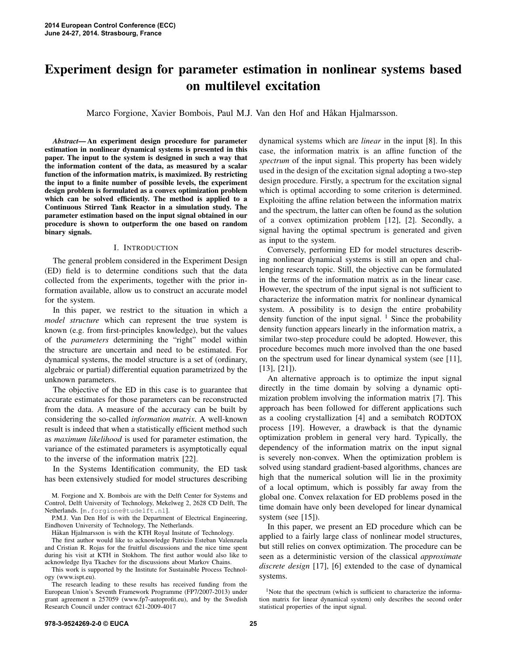# Experiment design for parameter estimation in nonlinear systems based on multilevel excitation

Marco Forgione, Xavier Bombois, Paul M.J. Van den Hof and Håkan Hjalmarsson.

*Abstract*— An experiment design procedure for parameter estimation in nonlinear dynamical systems is presented in this paper. The input to the system is designed in such a way that the information content of the data, as measured by a scalar function of the information matrix, is maximized. By restricting the input to a finite number of possible levels, the experiment design problem is formulated as a convex optimization problem which can be solved efficiently. The method is applied to a Continuous Stirred Tank Reactor in a simulation study. The parameter estimation based on the input signal obtained in our procedure is shown to outperform the one based on random binary signals.

# I. INTRODUCTION

The general problem considered in the Experiment Design (ED) field is to determine conditions such that the data collected from the experiments, together with the prior information available, allow us to construct an accurate model for the system.

In this paper, we restrict to the situation in which a *model structure* which can represent the true system is known (e.g. from first-principles knowledge), but the values of the *parameters* determining the "right" model within the structure are uncertain and need to be estimated. For dynamical systems, the model structure is a set of (ordinary, algebraic or partial) differential equation parametrized by the unknown parameters.

The objective of the ED in this case is to guarantee that accurate estimates for those parameters can be reconstructed from the data. A measure of the accuracy can be built by considering the so-called *information matrix*. A well-known result is indeed that when a statistically efficient method such as *maximum likelihood* is used for parameter estimation, the variance of the estimated parameters is asymptotically equal to the inverse of the information matrix [22].

In the Systems Identification community, the ED task has been extensively studied for model structures describing

M. Forgione and X. Bombois are with the Delft Center for Systems and Control, Delft University of Technology, Mekelweg 2, 2628 CD Delft, The Netherlands. [m.forgione@tudelft.nl].

P.M.J. Van Den Hof is with the Department of Electrical Engineering, Eindhoven University of Technology, The Netherlands.

Håkan Hjalmarsson is with the KTH Royal Insitute of Technology.

The first author would like to acknowledge Patricio Esteban Valenzuela and Cristian R. Rojas for the fruitful discussions and the nice time spent during his visit at KTH in Stokhom. The first author would also like to acknowledge Ilya Tkachev for the discussions about Markov Chains.

This work is supported by the Institute for Sustainable Process Technology (www.ispt.eu).

The research leading to these results has received funding from the European Union's Seventh Framework Programme (FP7/2007-2013) under grant agreement n 257059 (www.fp7-autoprofit.eu), and by the Swedish Research Council under contract 621-2009-4017

dynamical systems which are *linear* in the input [8]. In this case, the information matrix is an affine function of the *spectrum* of the input signal. This property has been widely used in the design of the excitation signal adopting a two-step design procedure. Firstly, a spectrum for the excitation signal which is optimal according to some criterion is determined. Exploiting the affine relation between the information matrix and the spectrum, the latter can often be found as the solution of a convex optimization problem [12], [2]. Secondly, a signal having the optimal spectrum is generated and given as input to the system.

Conversely, performing ED for model structures describing nonlinear dynamical systems is still an open and challenging research topic. Still, the objective can be formulated in the terms of the information matrix as in the linear case. However, the spectrum of the input signal is not sufficient to characterize the information matrix for nonlinear dynamical system. A possibility is to design the entire probability density function of the input signal.  $\frac{1}{1}$  Since the probability density function appears linearly in the information matrix, a similar two-step procedure could be adopted. However, this procedure becomes much more involved than the one based on the spectrum used for linear dynamical system (see [11], [13], [21]).

An alternative approach is to optimize the input signal directly in the time domain by solving a dynamic optimization problem involving the information matrix [7]. This approach has been followed for different applications such as a cooling crystallization [4] and a semibatch RODTOX process [19]. However, a drawback is that the dynamic optimization problem in general very hard. Typically, the dependency of the information matrix on the input signal is severely non-convex. When the optimization problem is solved using standard gradient-based algorithms, chances are high that the numerical solution will lie in the proximity of a local optimum, which is possibly far away from the global one. Convex relaxation for ED problems posed in the time domain have only been developed for linear dynamical system (see  $[15]$ ).

In this paper, we present an ED procedure which can be applied to a fairly large class of nonlinear model structures, but still relies on convex optimization. The procedure can be seen as a deterministic version of the classical *approximate discrete design* [17], [6] extended to the case of dynamical systems.

<sup>&</sup>lt;sup>1</sup>Note that the spectrum (which is sufficient to characterize the information matrix for linear dynamical system) only describes the second order statistical properties of the input signal.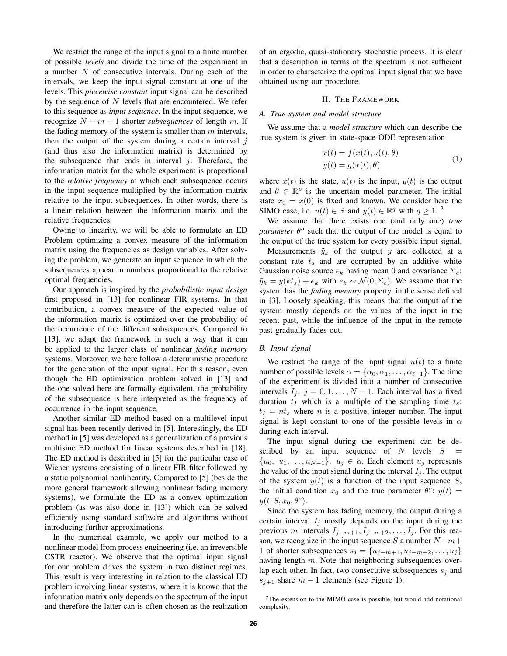We restrict the range of the input signal to a finite number of possible *levels* and divide the time of the experiment in a number  $N$  of consecutive intervals. During each of the intervals, we keep the input signal constant at one of the levels. This *piecewise constant* input signal can be described by the sequence of  $N$  levels that are encountered. We refer to this sequence as *input sequence*. In the input sequence, we recognize  $N - m + 1$  shorter *subsequences* of length m. If the fading memory of the system is smaller than  $m$  intervals, then the output of the system during a certain interval  $j$ (and thus also the information matrix) is determined by the subsequence that ends in interval  $i$ . Therefore, the information matrix for the whole experiment is proportional to the *relative frequency* at which each subsequence occurs in the input sequence multiplied by the information matrix relative to the input subsequences. In other words, there is a linear relation between the information matrix and the relative frequencies.

Owing to linearity, we will be able to formulate an ED Problem optimizing a convex measure of the information matrix using the frequencies as design variables. After solving the problem, we generate an input sequence in which the subsequences appear in numbers proportional to the relative optimal frequencies.

Our approach is inspired by the *probabilistic input design* first proposed in [13] for nonlinear FIR systems. In that contribution, a convex measure of the expected value of the information matrix is optimized over the probability of the occurrence of the different subsequences. Compared to [13], we adapt the framework in such a way that it can be applied to the larger class of nonlinear *fading memory* systems. Moreover, we here follow a deterministic procedure for the generation of the input signal. For this reason, even though the ED optimization problem solved in [13] and the one solved here are formally equivalent, the probability of the subsequence is here interpreted as the frequency of occurrence in the input sequence.

Another similar ED method based on a multilevel input signal has been recently derived in [5]. Interestingly, the ED method in [5] was developed as a generalization of a previous multisine ED method for linear systems described in [18]. The ED method is described in [5] for the particular case of Wiener systems consisting of a linear FIR filter followed by a static polynomial nonlinearity. Compared to [5] (beside the more general framework allowing nonlinear fading memory systems), we formulate the ED as a convex optimization problem (as was also done in [13]) which can be solved efficiently using standard software and algorithms without introducing further approximations.

In the numerical example, we apply our method to a nonlinear model from process engineering (i.e. an irreversible CSTR reactor). We observe that the optimal input signal for our problem drives the system in two distinct regimes. This result is very interesting in relation to the classical ED problem involving linear systems, where it is known that the information matrix only depends on the spectrum of the input and therefore the latter can is often chosen as the realization of an ergodic, quasi-stationary stochastic process. It is clear that a description in terms of the spectrum is not sufficient in order to characterize the optimal input signal that we have obtained using our procedure.

### II. THE FRAMEWORK

## *A. True system and model structure*

We assume that a *model structure* which can describe the true system is given in state-space ODE representation

$$
\begin{aligned} \dot{x}(t) &= f(x(t), u(t), \theta) \\ y(t) &= g(x(t), \theta) \end{aligned} \tag{1}
$$

where  $x(t)$  is the state,  $u(t)$  is the input,  $y(t)$  is the output and  $\theta \in \mathbb{R}^p$  is the uncertain model parameter. The initial state  $x_0 = x(0)$  is fixed and known. We consider here the SIMO case, i.e.  $u(t) \in \mathbb{R}$  and  $y(t) \in \mathbb{R}^q$  with  $q \ge 1$ .

We assume that there exists one (and only one) *true parameter*  $\theta^{\circ}$  such that the output of the model is equal to the output of the true system for every possible input signal.

Measurements  $\tilde{y}_k$  of the output y are collected at a constant rate  $t_s$  and are corrupted by an additive white Gaussian noise source  $e_k$  having mean 0 and covariance  $\Sigma_e$ :  $\tilde{y}_k = y(kt_s) + e_k$  with  $e_k \sim \mathcal{N}(0, \Sigma_e)$ . We assume that the system has the *fading memory* property, in the sense defined in [3]. Loosely speaking, this means that the output of the system mostly depends on the values of the input in the recent past, while the influence of the input in the remote past gradually fades out.

#### *B. Input signal*

We restrict the range of the input signal  $u(t)$  to a finite number of possible levels  $\alpha = {\alpha_0, \alpha_1, \dots, \alpha_{\ell-1}}$ . The time of the experiment is divided into a number of consecutive intervals  $I_j$ ,  $j = 0, 1, ..., N - 1$ . Each interval has a fixed duration  $t_I$  which is a multiple of the sampling time  $t_s$ .  $t_1 = nt_s$  where *n* is a positive, integer number. The input signal is kept constant to one of the possible levels in  $\alpha$ during each interval.

The input signal during the experiment can be described by an input sequence of  $N$  levels  $S =$  $\{u_0, u_1, \ldots, u_{N-1}\}, u_j \in \alpha$ . Each element  $u_j$  represents the value of the input signal during the interval  $I_i$ . The output of the system  $y(t)$  is a function of the input sequence S, the initial condition  $x_0$  and the true parameter  $\theta$ <sup>o</sup>:  $y(t)$  =  $y(t; S, x_0, \theta^o).$ 

Since the system has fading memory, the output during a certain interval  $I_i$  mostly depends on the input during the previous m intervals  $I_{j-m+1}, I_{j-m+2}, \ldots, I_j$ . For this reason, we recognize in the input sequence S a number  $N - m +$ 1 of shorter subsequences  $s_j = \{u_{j-m+1}, u_{j-m+2}, \ldots, u_j\}$ having length m. Note that neighboring subsequences overlap each other. In fact, two consecutive subsequences  $s_i$  and  $s_{i+1}$  share  $m-1$  elements (see Figure 1).

<sup>2</sup>The extension to the MIMO case is possible, but would add notational complexity.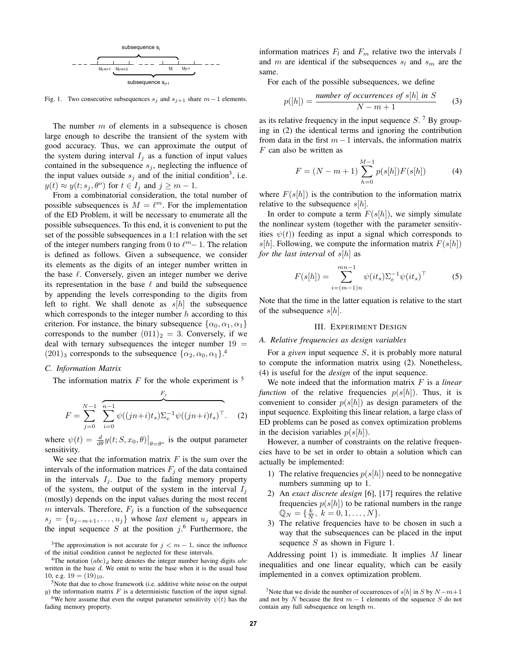

Fig. 1. Two consecutive subsequences  $s_j$  and  $s_{j+1}$  share  $m-1$  elements.

The number  $m$  of elements in a subsequence is chosen large enough to describe the transient of the system with good accuracy. Thus, we can approximate the output of the system during interval  $I_i$  as a function of input values contained in the subsequence  $s_j$ , neglecting the influence of the input values outside  $s_j$  and of the initial condition<sup>3</sup>, i.e.  $y(t) \approx y(t; s_j, \theta^o)$  for  $t \in I_j$  and  $j \geq m - 1$ .

From a combinatorial consideration, the total number of possible subsequences is  $M = \ell^m$ . For the implementation of the ED Problem, it will be necessary to enumerate all the possible subsequences. To this end, it is convenient to put the set of the possible subsequences in a 1:1 relation with the set of the integer numbers ranging from 0 to  $\ell^m$  – 1. The relation is defined as follows. Given a subsequence, we consider its elements as the digits of an integer number written in the base  $\ell$ . Conversely, given an integer number we derive its representation in the base  $\ell$  and build the subsequence by appending the levels corresponding to the digits from left to right. We shall denote as  $s[h]$  the subsequence which corresponds to the integer number  $h$  according to this criterion. For instance, the binary subsequence  $\{\alpha_0, \alpha_1, \alpha_1\}$ corresponds to the number  $(011)_2 = 3$ . Conversely, if we deal with ternary subsequences the integer number  $19 =$  $(201)_3$  corresponds to the subsequence  $\{\alpha_2, \alpha_0, \alpha_1\}$ <sup>4</sup>

## *C. Information Matrix*

The information matrix  $F$  for the whole experiment is  $\frac{5}{5}$ 

$$
F = \sum_{j=0}^{N-1} \sum_{i=0}^{n-1} \psi((jn+i)t_s) \Sigma_e^{-1} \psi((jn+i)t_s)^\top.
$$
 (2)

where  $\psi(t) = \frac{d}{d\theta} y(t; S, x_0, \theta) \big|_{\theta = \theta}$  is the output parameter sensitivity.

We see that the information matrix  $F$  is the sum over the intervals of the information matrices  $F_i$  of the data contained in the intervals  $I_j$ . Due to the fading memory property of the system, the output of the system in the interval  $I_j$ (mostly) depends on the input values during the most recent m intervals. Therefore,  $F_j$  is a function of the subsequence  $s_j = \{u_{j-m+1}, \ldots, u_j\}$  whose *last* element  $u_j$  appears in the input sequence S at the position  $j<sup>6</sup>$  Furthermore, the

information matrices  $F_l$  and  $F_m$  relative two the intervals l and m are identical if the subsequences  $s_l$  and  $s_m$  are the same.

For each of the possible subsequences, we define

$$
p([h]) = \frac{number\ of\ occurrences\ of\ s[h]\ in\ S}{N-m+1}
$$
 (3)

as its relative frequency in the input sequence  $S<sup>7</sup>$  By grouping in (2) the identical terms and ignoring the contribution from data in the first  $m-1$  intervals, the information matrix  $F$  can also be written as

$$
F = (N - m + 1) \sum_{h=0}^{M-1} p(s[h]) F(s[h])
$$
 (4)

where  $F(s[h])$  is the contribution to the information matrix relative to the subsequence  $s[h]$ .

In order to compute a term  $F(s[h])$ , we simply simulate the nonlinear system (together with the parameter sensitivities  $\psi(t)$ ) feeding as input a signal which corresponds to  $s[h]$ . Following, we compute the information matrix  $F(s[h])$ *for the last interval* of s[h] as

$$
F(s[h]) = \sum_{i=(m-1)n}^{mn-1} \psi(it_s) \Sigma_e^{-1} \psi(it_s)^\top
$$
 (5)

Note that the time in the latter equation is relative to the start of the subsequence  $s[h]$ .

#### III. EXPERIMENT DESIGN

#### *A. Relative frequencies as design variables*

For a *given* input sequence S, it is probably more natural to compute the information matrix using (2). Nonetheless, (4) is useful for the *design* of the input sequence.

We note indeed that the information matrix F is a *linear function* of the relative frequencies  $p(s[h])$ . Thus, it is convenient to consider  $p(s[h])$  as design parameters of the input sequence. Exploiting this linear relation, a large class of ED problems can be posed as convex optimization problems in the decision variables  $p(s[h])$ .

However, a number of constraints on the relative frequencies have to be set in order to obtain a solution which can actually be implemented:

- 1) The relative frequencies  $p(s[h])$  need to be nonnegative numbers summing up to 1.
- 2) An *exact discrete design* [6], [17] requires the relative frequencies  $p(s[h])$  to be rational numbers in the range  $\mathbb{Q}_N = \{\frac{k}{N},\ k = 0, 1, \ldots, N\}.$
- 3) The relative frequencies have to be chosen in such a way that the subsequences can be placed in the input sequence  $S$  as shown in Figure 1.

Addressing point 1) is immediate. It implies M linear inequalities and one linear equality, which can be easily implemented in a convex optimization problem.

<sup>&</sup>lt;sup>3</sup>The approximation is not accurate for  $j < m - 1$ , since the influence of the initial condition cannot be neglected for these intervals.

<sup>&</sup>lt;sup>4</sup>The notation  $(abc)<sub>d</sub>$  here denotes the integer number having digits abc written in the base  $d$ . We omit to write the base when it is the usual base 10, e.g.  $19 = (19)_{10}$ .

 $5$ Note that due to chose framework (i.e. additive white noise on the output

 $y$ ) the information matrix  $F$  is a deterministic function of the input signal. <sup>6</sup>We here assume that even the output parameter sensitivity  $\psi(t)$  has the fading memory property.

<sup>&</sup>lt;sup>7</sup>Note that we divide the number of occurrences of s[h] in S by  $N-m+1$ and not by N because the first  $m - 1$  elements of the sequence S do not contain any full subsequence on length m.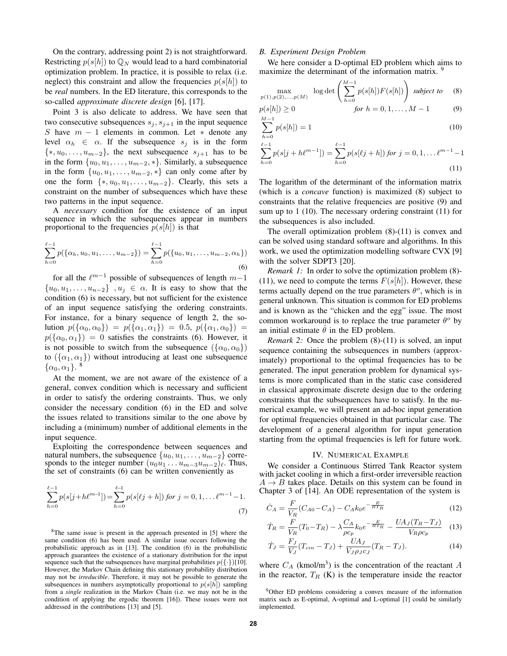On the contrary, addressing point 2) is not straightforward. Restricting  $p(s[h])$  to  $\mathbb{Q}_N$  would lead to a hard combinatorial optimization problem. In practice, it is possible to relax (i.e. neglect) this constraint and allow the frequencies  $p(s[h])$  to be *real* numbers. In the ED literature, this corresponds to the so-called *approximate discrete design* [6], [17].

Point 3 is also delicate to address. We have seen that two consecutive subsequences  $s_j, s_{j+1}$  in the input sequence S have  $m - 1$  elements in common. Let  $*$  denote any level  $\alpha_h \in \alpha$ . If the subsequence  $s_j$  is in the form  $\{*, u_0, \ldots, u_{m-2}\},\$  the next subsequence  $s_{j+1}$  has to be in the form  $\{u_0, u_1, \ldots, u_{m-2}, *\}$ . Similarly, a subsequence in the form  $\{u_0, u_1, \ldots, u_{m-2}, *\}$  can only come after by one the form  $\{*, u_0, u_1, \ldots, u_{m-2}\}.$  Clearly, this sets a constraint on the number of subsequences which have these two patterns in the input sequence.

A *necessary* condition for the existence of an input sequence in which the subsequences appear in numbers proportional to the frequencies  $p(s[h])$  is that

$$
\sum_{h=0}^{\ell-1} p(\{\alpha_h, u_0, u_1, \dots, u_{m-2}\}) = \sum_{h=0}^{\ell-1} p(\{u_0, u_1, \dots, u_{m-2}, \alpha_h\})
$$
\n(6)

for all the  $\ell^{m-1}$  possible of subsequences of length  $m-1$  ${u_0, u_1, \ldots, u_{n-2}}$ ,  $u_j \in \alpha$ . It is easy to show that the condition (6) is necessary, but not sufficient for the existence of an input sequence satisfying the ordering constraints. For instance, for a binary sequence of length 2, the solution  $p(\{\alpha_0, \alpha_0\}) = p(\{\alpha_1, \alpha_1\}) = 0.5, p(\{\alpha_1, \alpha_0\}) =$  $p(\{\alpha_0, \alpha_1\}) = 0$  satisfies the constraints (6). However, it is not possible to switch from the subsequence  $({\alpha_0}, {\alpha_0})$ to  $({\alpha_1, \alpha_1})$  without introducing at least one subsequence  $\{\alpha_0, \alpha_1\}$ . <sup>8</sup>

At the moment, we are not aware of the existence of a general, convex condition which is necessary and sufficient in order to satisfy the ordering constraints. Thus, we only consider the necessary condition (6) in the ED and solve the issues related to transitions similar to the one above by including a (minimum) number of additional elements in the input sequence.

Exploiting the correspondence between sequences and natural numbers, the subsequence  $\{u_0, u_1, \ldots, u_{m-2}\}$  corresponds to the integer number  $(u_0u_1 \dots u_{m-3}u_{m-2})_\ell$ . Thus, the set of constraints (6) can be written conveniently as

$$
\sum_{h=0}^{\ell-1} p(s[j+h\ell^{m-1}]) = \sum_{h=0}^{\ell-1} p(s[\ell j+h]) \text{ for } j=0,1,\dots \ell^{m-1}-1.
$$
\n(7)

<sup>8</sup>The same issue is present in the approach presented in [5] where the same condition (6) has been used. A similar issue occurs following the probabilistic approach as in [13]. The condition (6) in the probabilistic approach guarantees the existence of a stationary distribution for the input sequence such that the subsequences have marginal probabilities  $p({\{\cdot\}})[10]$ . However, the Markov Chain defining this stationary probability distribution may not be *irreducible*. Therefore, it may not be possible to generate the subsequences in numbers asymptotically proportional to  $p(s[h])$  sampling from a *single* realization in the Markov Chain (i.e. we may not be in the condition of applying the ergodic theorem [16]). These issues were not addressed in the contributions [13] and [5].

#### *B. Experiment Design Problem*

We here consider a D-optimal ED problem which aims to maximize the determinant of the information matrix. <sup>9</sup>

$$
\max_{p(1), p(2), ..., p(M)} \log \det \left( \sum_{h=0}^{M-1} p(s[h]) F(s[h]) \right) \text{ subject to } (8)
$$
\n
$$
p(s[h]) > 0 \qquad \text{for } h = 0, 1, ..., M-1 \qquad (9)
$$

$$
\sum_{M=1}^{M-1} p(s[h]) = 1
$$
 (10)

$$
\sum_{h=0} p(s[h]) = 1
$$
\n
$$
\ell-1
$$
\n(10)

$$
\sum_{h=0}^{\ell-1} p(s[j+h\ell^{m-1}]) = \sum_{h=0}^{\ell-1} p(s[\ell j+h]) \text{ for } j=0,1,\ldots \ell^{m-1}-1
$$
\n(11)

The logarithm of the determinant of the information matrix (which is a *concave* function) is maximized (8) subject to constraints that the relative frequencies are positive (9) and sum up to 1 (10). The necessary ordering constraint (11) for the subsequences is also included.

The overall optimization problem (8)-(11) is convex and can be solved using standard software and algorithms. In this work, we used the optimization modelling software CVX [9] with the solver SDPT3 [20].

*Remark 1:* In order to solve the optimization problem  $(8)$ -(11), we need to compute the terms  $F(s[h])$ . However, these terms actually depend on the true parameters  $\theta$ <sup>o</sup>, which is in general unknown. This situation is common for ED problems and is known as the "chicken and the egg" issue. The most common workaround is to replace the true parameter  $\theta^o$  by an initial estimate  $\hat{\theta}$  in the ED problem.

*Remark 2:* Once the problem  $(8)-(11)$  is solved, an input sequence containing the subsequences in numbers (approximately) proportional to the optimal frequencies has to be generated. The input generation problem for dynamical systems is more complicated than in the static case considered in classical approximate discrete design due to the ordering constraints that the subsequences have to satisfy. In the numerical example, we will present an ad-hoc input generation for optimal frequencies obtained in that particular case. The development of a general algorithm for input generation starting from the optimal frequencies is left for future work.

#### IV. NUMERICAL EXAMPLE

We consider a Continuous Stirred Tank Reactor system with jacket cooling in which a first-order irreversible reaction  $A \rightarrow B$  takes place. Details on this system can be found in Chapter 3 of [14]. An ODE representation of the system is

$$
\dot{C}_A = \frac{F}{V_R} (C_{A0} - C_A) - C_A k_0 e^{-\frac{E}{RT_R}}
$$
\n(12)

$$
\dot{T}_R = \frac{F}{V_R}(T_0 - T_R) - \lambda \frac{C_A}{\rho c_p} k_0 e^{-\frac{E}{RT_R}} - \frac{U A_J (T_R - T_J)}{V_R \rho c_p} \tag{13}
$$

$$
\dot{T}_J = \frac{F_J}{V_J}(T_{cin} - T_J) + \frac{UA_J}{V_J \rho_J c_J}(T_R - T_J). \tag{14}
$$

where  $C_A$  (kmol/m<sup>3</sup>) is the concentration of the reactant A in the reactor,  $T_R$  (K) is the temperature inside the reactor

<sup>9</sup>Other ED problems considering a convex measure of the information matrix such as E-optimal, A-optimal and L-optimal [1] could be similarly implemented.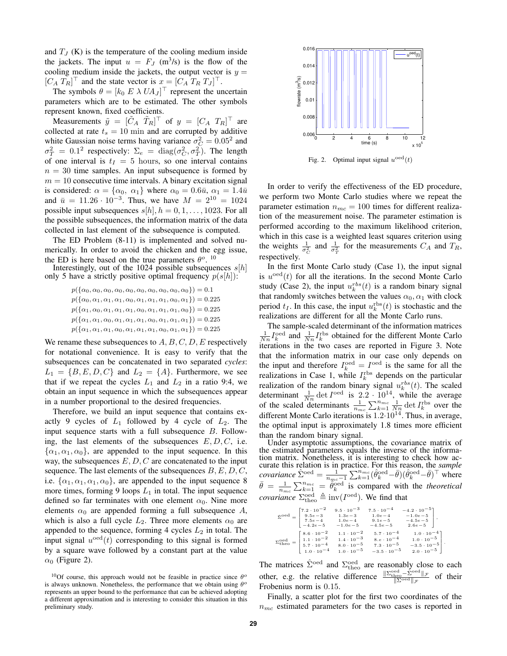and  $T_{J}$  (K) is the temperature of the cooling medium inside the jackets. The input  $u = F_J$  (m<sup>3</sup>/s) is the flow of the cooling medium inside the jackets, the output vector is  $y =$  $[C_A T_R]^\top$  and the state vector is  $x = [C_A T_R T_J]^\top$ .

The symbols  $\theta = [k_0 \ E \ \lambda \ UA_J]^\top$  represent the uncertain parameters which are to be estimated. The other symbols represent known, fixed coefficients.

Measurements  $\tilde{y} = [\tilde{C}_A \ \tilde{T}_R]^\top$  of  $y = [C_A \ T_R]^\top$  are collected at rate  $t_s = 10$  min and are corrupted by additive white Gaussian noise terms having variance  $\sigma_C^2 = 0.05^2$  and  $\sigma_T^2 = 0.1^2$  respectively:  $\Sigma_e = \text{diag}(\sigma_C^2, \sigma_T^2)$ . The length of one interval is  $t_I = 5$  hours, so one interval contains  $n = 30$  time samples. An input subsequence is formed by  $m = 10$  consecutive time intervals. A binary excitation signal is considered:  $\alpha = {\alpha_0, \alpha_1}$  where  $\alpha_0 = 0.6\bar{u}, \alpha_1 = 1.4\bar{u}$ and  $\bar{u} = 11.26 \cdot 10^{-3}$ . Thus, we have  $M = 2^{10} = 1024$ possible input subsequences  $s[h], h = 0, 1, \ldots, 1023$ . For all the possible subsequences, the information matrix of the data collected in last element of the subsequence is computed.

The ED Problem (8-11) is implemented and solved numerically. In order to avoid the chicken and the egg issue, the ED is here based on the true parameters  $\theta^o$ . <sup>10</sup>

Interestingly, out of the 1024 possible subsequences  $s[h]$ only 5 have a strictly positive optimal frequency  $p(s[h])$ :

| $p(\{\alpha_0, \alpha_1, \alpha_1, \alpha_1, \alpha_0, \alpha_1, \alpha_1, \alpha_1, \alpha_0, \alpha_1\}) = 0.225$ |
|---------------------------------------------------------------------------------------------------------------------|
| $p(\{\alpha_1, \alpha_0, \alpha_1, \alpha_1, \alpha_1, \alpha_0, \alpha_1, \alpha_1, \alpha_1, \alpha_0\}) = 0.225$ |
| $p(\{\alpha_1, \alpha_1, \alpha_0, \alpha_1, \alpha_1, \alpha_1, \alpha_0, \alpha_1, \alpha_1, \alpha_1\}) = 0.225$ |
| $p(\{\alpha_1, \alpha_1, \alpha_1, \alpha_0, \alpha_1, \alpha_1, \alpha_1, \alpha_0, \alpha_1, \alpha_1\}) = 0.225$ |

We rename these subsequences to  $A, B, C, D, E$  respectively for notational convenience. It is easy to verify that the subsequences can be concatenated in two separated *cycles*:  $L_1 = \{B, E, D, C\}$  and  $L_2 = \{A\}$ . Furthermore, we see that if we repeat the cycles  $L_1$  and  $L_2$  in a ratio 9:4, we obtain an input sequence in which the subsequences appear in a number proportional to the desired frequencies.

Therefore, we build an input sequence that contains exactly 9 cycles of  $L_1$  followed by 4 cycle of  $L_2$ . The input sequence starts with a full subsequence B. Following, the last elements of the subsequences  $E, D, C$ , i.e.  $\{\alpha_1, \alpha_1, \alpha_0\}$ , are appended to the input sequence. In this way, the subsequences  $E, D, C$  are concatenated to the input sequence. The last elements of the subsequences  $B, E, D, C$ , i.e.  $\{\alpha_1, \alpha_1, \alpha_1, \alpha_0\}$ , are appended to the input sequence 8 more times, forming 9 loops  $L_1$  in total. The input sequence defined so far terminates with one element  $\alpha_0$ . Nine more elements  $\alpha_0$  are appended forming a full subsequence  $A$ , which is also a full cycle  $L_2$ . Three more elements  $\alpha_0$  are appended to the sequence, forming 4 cycles  $L_2$  in total. The input signal  $u^{\text{oed}}(t)$  corresponding to this signal is formed by a square wave followed by a constant part at the value  $\alpha_0$  (Figure 2).



Fig. 2. Optimal input signal  $u^{\text{oed}}(t)$ 

In order to verify the effectiveness of the ED procedure, we perform two Monte Carlo studies where we repeat the parameter estimation  $n_{mc} = 100$  times for different realization of the measurement noise. The parameter estimation is performed according to the maximum likelihood criterion, which in this case is a weighted least squares criterion using the weights  $\frac{1}{\sigma_C^2}$  and  $\frac{1}{\sigma_T^2}$  for the measurements  $C_A$  and  $T_R$ , respectively.

In the first Monte Carlo study (Case 1), the input signal is  $u^{\text{oed}}(t)$  for all the iterations. In the second Monte Carlo study (Case 2), the input  $u_k^{rbs}(t)$  is a random binary signal that randomly switches between the values  $\alpha_0, \alpha_1$  with clock period  $t_I$ . In this case, the input  $u_k^{\text{rbs}}(t)$  is stochastic and the realizations are different for all the Monte Carlo runs.

The sample-scaled determinant of the information matrices  $\frac{1}{N_n} I_k^{\text{red}}$  and  $\frac{1}{N_n} I_k^{\text{rbs}}$  obtained for the different Monte Carlo iterations in the two cases are reported in Figure 3. Note that the information matrix in our case only depends on the input and therefore  $I_k^{\text{oed}} = I^{\text{oed}}$  is the same for all the realizations in Case 1, while  $I_k^{\text{rbs}}$  depends on the particular realization of the random binary signal  $u_k^{rbs}(t)$ . The scaled determinant  $\frac{1}{Nn}$  det  $I^{\text{oed}}$  is  $2.2 \cdot 10^{14}$ , while the average of the scaled determinants  $\frac{1}{n_{mc}}\sum_{k=1}^{n_{mc}} \frac{1}{N_n} \det I_k^{\text{rbs}}$  over the different Monte Carlo iterations is  $1.2 \cdot 10^{14}$ . Thus, in average, the optimal input is approximately 1.8 times more efficient than the random binary signal.

Under asymptotic assumptions, the covariance matrix of the estimated parameters equals the inverse of the information matrix. Nonetheless, it is interesting to check how accurate this relation is in practice. For this reason, the *sample covariance*  $\hat{\Sigma}^{\text{oed}} = \frac{1}{n_{mc}-1} \sum_{k=1}^{n_{mc}} (\hat{\theta}_k^{\text{oed}} - \bar{\theta}) (\hat{\theta}_k^{\text{oed}} - \bar{\theta})^\top$  where  $\bar{\theta} = \frac{1}{n_{mc}} \sum_{k=1}^{n_{mc}} \theta_k^{\text{need}}$  is compared with the *theoretical covariance*  $\Sigma_{\text{theo}}^{\text{oed}} \triangleq \text{inv}(I^{\text{oed}})$ . We find that

| $\lceil 7.2 \cdot 10^{-2} \rceil$<br>$\hat{\Sigma}^{\text{oed}} = \begin{bmatrix} 9.5e-3 \\ 7.5e-4 \\ -4.2e-5 \end{bmatrix}$                                     | $9.5 \cdot 10^{-3}$<br>$1.3e - 3$<br>$1.0e - 4$<br>$-1.0e-5$                             | $7.5 \cdot 10^{-4}$<br>$1.0e - 4$<br>$9.1e - 5$<br>$-4.5e-5$                        | $-4.2 \cdot 10^{-5}$ ]<br>$-1.0e-5$<br>$-4.5e-5$<br>$2.6e-5$                                  |
|------------------------------------------------------------------------------------------------------------------------------------------------------------------|------------------------------------------------------------------------------------------|-------------------------------------------------------------------------------------|-----------------------------------------------------------------------------------------------|
| $\Sigma_{\rm{theo}}^{\rm{oed}} = \left[ \begin{array}{l} 8.6 \cdot 10^{-2} \\ 1.1 \cdot 10^{-2} \\ 5.7 \cdot 10^{-4} \end{array} \right]$<br>$1.0 \cdot 10^{-4}$ | $1.1 \cdot 10^{-2}$<br>$1.4 \cdot 10^{-3}$<br>$8.0 \cdot 10^{-5}$<br>$1.0 \cdot 10^{-5}$ | $5.7 \cdot 10^{-4}$<br>$8.e.10^{-4}$<br>$7.3 \cdot 10^{-5}$<br>$-3.5 \cdot 10^{-5}$ | $1.0 \cdot 10^{-4}$ ]<br>$1.0 \cdot 10^{-5}$<br>$-3.5 \cdot 10^{-5}$ .<br>$2.0 \cdot 10^{-5}$ |

The matrices  $\hat{\Sigma}^{\text{oed}}$  and  $\Sigma_{\text{theo}}^{\text{oed}}$  are reasonably close to each other, e.g. the relative difference  $\frac{\|\Sigma_{\text{theo}}^{\text{odd}} - \hat{\Sigma}^{\text{odd}}\|_{\mathcal{F}}}{\|\Sigma_{\text{odd}}\|_{\mathcal{F}}}$  of their Frobenius norm is 0.15.

Finally, a scatter plot for the first two coordinates of the  $n_{mc}$  estimated parameters for the two cases is reported in

<sup>&</sup>lt;sup>10</sup>Of course, this approach would not be feasible in practice since  $\theta^{\circ}$ is always unknown. Nonetheless, the performance that we obtain using  $\theta^o$ represents an upper bound to the performance that can be achieved adopting a different approximation and is interesting to consider this situation in this preliminary study.